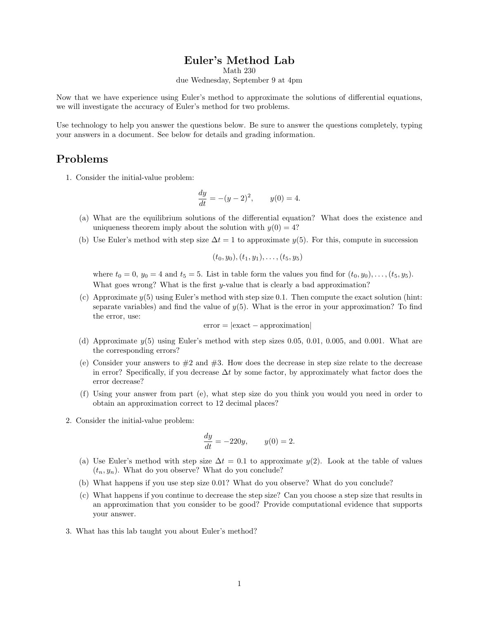## Euler's Method Lab

Math 230

due Wednesday, September 9 at 4pm

Now that we have experience using Euler's method to approximate the solutions of differential equations, we will investigate the accuracy of Euler's method for two problems.

Use technology to help you answer the questions below. Be sure to answer the questions completely, typing your answers in a document. See below for details and grading information.

## Problems

1. Consider the initial-value problem:

$$
\frac{dy}{dt} = -(y-2)^2, \qquad y(0) = 4.
$$

- (a) What are the equilibrium solutions of the differential equation? What does the existence and uniqueness theorem imply about the solution with  $y(0) = 4$ ?
- (b) Use Euler's method with step size  $\Delta t = 1$  to approximate  $y(5)$ . For this, compute in succession

$$
(t_0,y_0),(t_1,y_1),\ldots,(t_5,y_5)
$$

where  $t_0 = 0$ ,  $y_0 = 4$  and  $t_5 = 5$ . List in table form the values you find for  $(t_0, y_0), \ldots, (t_5, y_5)$ . What goes wrong? What is the first  $y$ -value that is clearly a bad approximation?

(c) Approximate  $y(5)$  using Euler's method with step size 0.1. Then compute the exact solution (hint: separate variables) and find the value of  $y(5)$ . What is the error in your approximation? To find the error, use:

 $error = |exact - approximation|$ 

- (d) Approximate  $y(5)$  using Euler's method with step sizes 0.05, 0.01, 0.005, and 0.001. What are the corresponding errors?
- (e) Consider your answers to  $\#2$  and  $\#3$ . How does the decrease in step size relate to the decrease in error? Specifically, if you decrease  $\Delta t$  by some factor, by approximately what factor does the error decrease?
- (f) Using your answer from part (e), what step size do you think you would you need in order to obtain an approximation correct to 12 decimal places?
- 2. Consider the initial-value problem:

$$
\frac{dy}{dt} = -220y, \qquad y(0) = 2.
$$

- (a) Use Euler's method with step size  $\Delta t = 0.1$  to approximate  $y(2)$ . Look at the table of values  $(t_n, y_n)$ . What do you observe? What do you conclude?
- (b) What happens if you use step size 0.01? What do you observe? What do you conclude?
- (c) What happens if you continue to decrease the step size? Can you choose a step size that results in an approximation that you consider to be good? Provide computational evidence that supports your answer.
- 3. What has this lab taught you about Euler's method?